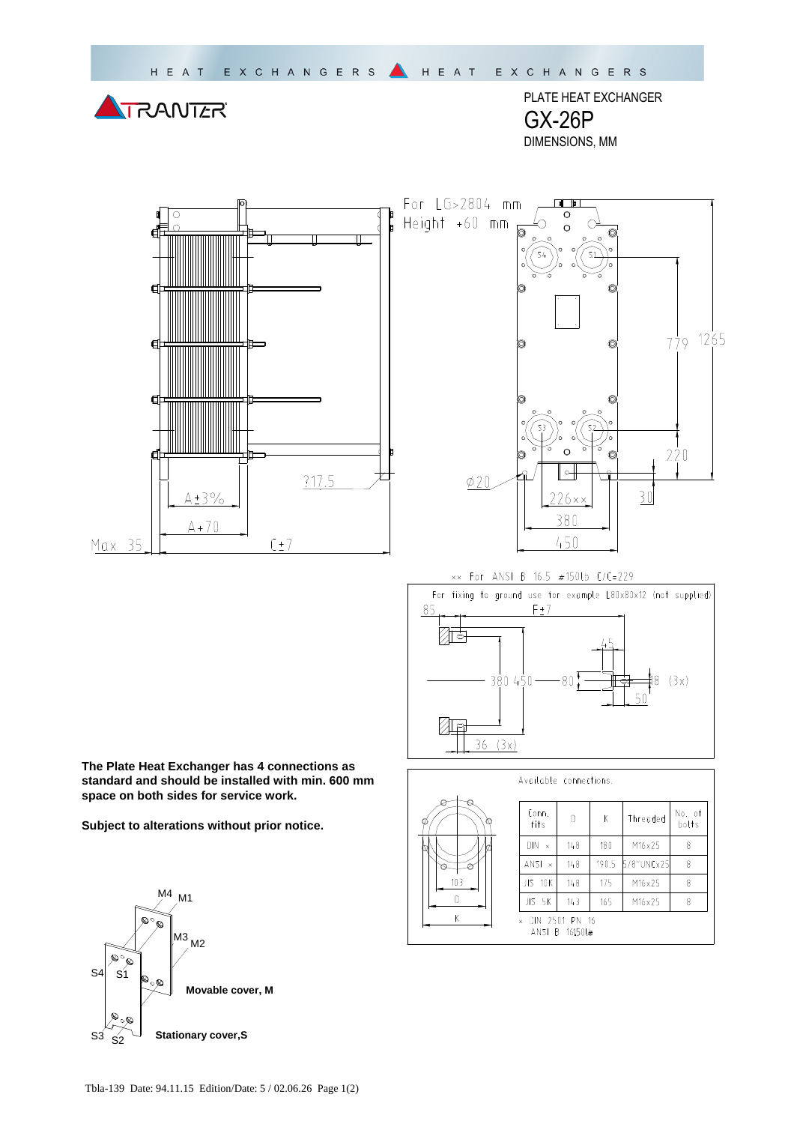TRANTER

PLATE HEAT EXCHANGER GX-26P DIMENSIONS, MM





xx For ANSI B 16.5 #150lb C/C=229



|         | Available connections. |                                  |       |            |                 |
|---------|------------------------|----------------------------------|-------|------------|-----------------|
| Ø<br>Ö. | Conn.<br>fits          | D                                | Κ     | Threaded   | No. of<br>bolts |
|         | $DIN \times$           | 148                              | 180   | M16x25     | 8               |
|         | $ANSI \times$          | 148                              | 190.5 | 5/8"UNCx25 | 8               |
| 103     | JIS 10K                | 148                              | 175   | M16×25     | 8               |
|         | JIS 5K                 | 143                              | 165   | M16x25     | 8               |
| Κ       | $\mathsf{x}$           | DIN 2501 PN 16<br>ANSI B 16150Lm |       |            |                 |

**The Plate Heat Exchanger has 4 connections as standard and should be installed with min. 600 mm space on both sides for service work.** 

**Subject to alterations without prior notice.**